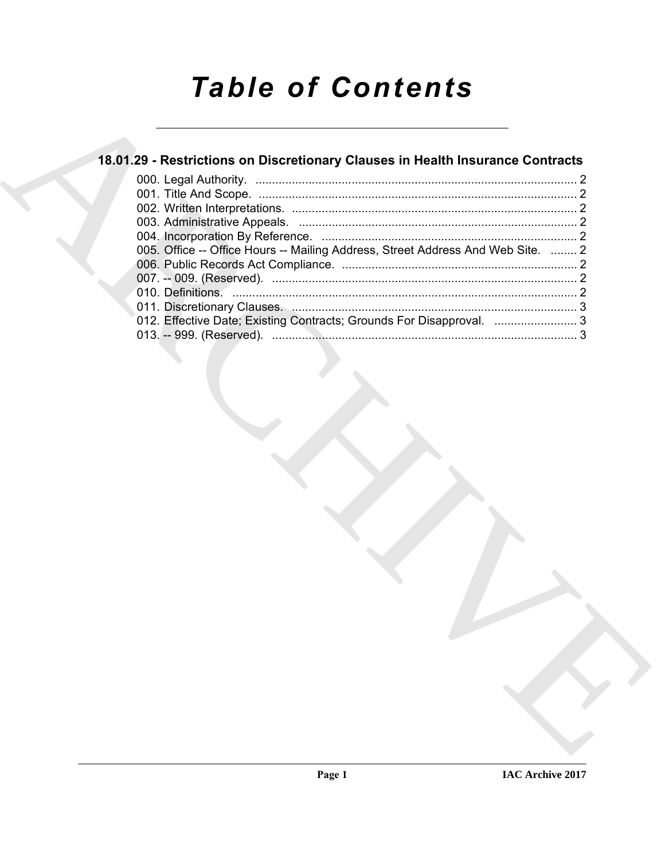# *Table of Contents*

# **18.01.29 - Restrictions on Discretionary Clauses in Health Insurance Contracts**

| 18.01.29 - Restrictions on Discretionary Clauses in Health Insurance Contracts  |  |
|---------------------------------------------------------------------------------|--|
|                                                                                 |  |
|                                                                                 |  |
|                                                                                 |  |
| 005. Office -- Office Hours -- Mailing Address, Street Address And Web Site.  2 |  |
|                                                                                 |  |
|                                                                                 |  |
|                                                                                 |  |
|                                                                                 |  |
| 012. Effective Date; Existing Contracts; Grounds For Disapproval.  3            |  |
|                                                                                 |  |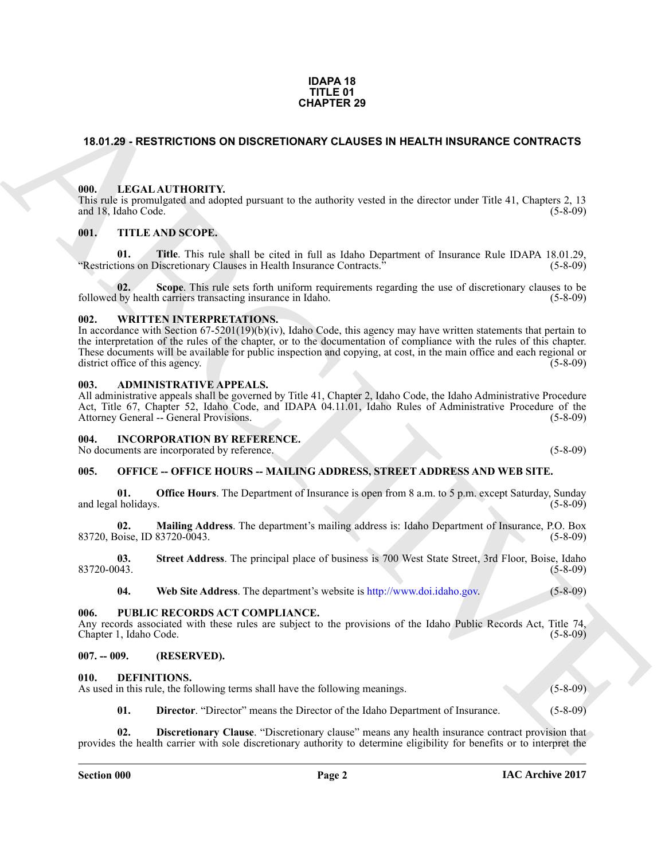#### **IDAPA 18 TITLE 01 CHAPTER 29**

#### <span id="page-1-0"></span>**18.01.29 - RESTRICTIONS ON DISCRETIONARY CLAUSES IN HEALTH INSURANCE CONTRACTS**

#### <span id="page-1-1"></span>**000. LEGAL AUTHORITY.**

This rule is promulgated and adopted pursuant to the authority vested in the director under Title 41, Chapters 2, 13 and 18, Idaho Code. (5-8-09)

#### <span id="page-1-2"></span>**001. TITLE AND SCOPE.**

**01. Title**. This rule shall be cited in full as Idaho Department of Insurance Rule IDAPA 18.01.29, ions on Discretionary Clauses in Health Insurance Contracts." (5-8-09) "Restrictions on Discretionary Clauses in Health Insurance Contracts.<sup>3</sup>

**02.** Scope. This rule sets forth uniform requirements regarding the use of discretionary clauses to be by health carriers transacting insurance in Idaho. (5-8-09) followed by health carriers transacting insurance in Idaho.

#### <span id="page-1-3"></span>**002. WRITTEN INTERPRETATIONS.**

**CHAPTER 29**<br> **CHAPTER 29**<br> **CHAPTER 29**<br> **CHAPTER 29**<br> **CHAPTER 29**<br> **CHAPTER 20**<br> **CHAPTER 20**<br> **CHAPTER 20**<br> **CHAPTER 200**<br> **CHAPTER 200**<br> **CHAPTER 200**<br> **CHAPTER 200**<br> **CHAPTER 200**<br> **CHAPTER 200**<br> **CHAPTER 200**<br> **CHA** In accordance with Section 67-5201(19)(b)(iv), Idaho Code, this agency may have written statements that pertain to the interpretation of the rules of the chapter, or to the documentation of compliance with the rules of this chapter. These documents will be available for public inspection and copying, at cost, in the main office and each regional or district office of this agency. district office of this agency.

#### <span id="page-1-4"></span>**003. ADMINISTRATIVE APPEALS.**

All administrative appeals shall be governed by Title 41, Chapter 2, Idaho Code, the Idaho Administrative Procedure Act, Title 67, Chapter 52, Idaho Code, and IDAPA 04.11.01, Idaho Rules of Administrative Procedure of the Attorney General -- General Provisions. (5-8-09) (5-8-09)

#### <span id="page-1-5"></span>**004. INCORPORATION BY REFERENCE.**

No documents are incorporated by reference. (5-8-09)

### <span id="page-1-6"></span>**005. OFFICE -- OFFICE HOURS -- MAILING ADDRESS, STREET ADDRESS AND WEB SITE.**

**01. Office Hours**. The Department of Insurance is open from 8 a.m. to 5 p.m. except Saturday, Sunday (5-8-09) and legal holidays.

**02. Mailing Address**. The department's mailing address is: Idaho Department of Insurance, P.O. Box 83720, Boise, ID 83720-0043.

**03.** Street Address. The principal place of business is 700 West State Street, 3rd Floor, Boise, Idaho (5-8-09) 83720-0043. (5-8-09)

**04. Web Site Address**. The department's website is http://www.doi.idaho.gov. (5-8-09)

#### <span id="page-1-7"></span>**006. PUBLIC RECORDS ACT COMPLIANCE.**

Any records associated with these rules are subject to the provisions of the Idaho Public Records Act, Title 74, Chapter 1, Idaho Code. (5-8-09) Chapter 1, Idaho Code.

#### <span id="page-1-8"></span>**007. -- 009. (RESERVED).**

#### <span id="page-1-10"></span><span id="page-1-9"></span>**010. DEFINITIONS.**

As used in this rule, the following terms shall have the following meanings. (5-8-09)

<span id="page-1-12"></span><span id="page-1-11"></span>**01. Director**. "Director" means the Director of the Idaho Department of Insurance. (5-8-09)

**02. Discretionary Clause**. "Discretionary clause" means any health insurance contract provision that provides the health carrier with sole discretionary authority to determine eligibility for benefits or to interpret the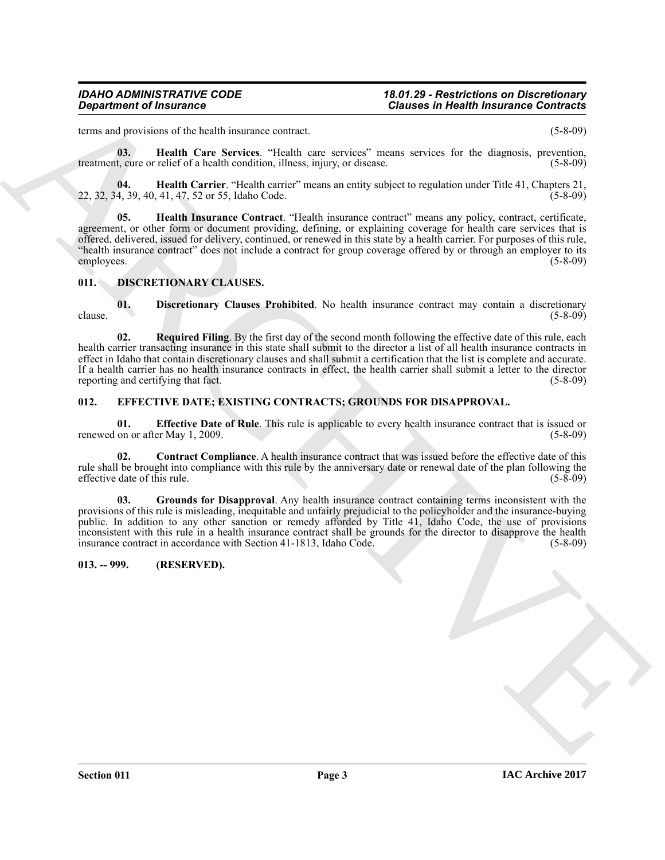#### *IDAHO ADMINISTRATIVE CODE 18.01.29 - Restrictions on Discretionary Department of Insurance Clauses in Health Insurance Contracts*

terms and provisions of the health insurance contract. (5-8-09)

<span id="page-2-3"></span>**03. Health Care Services**. "Health care services" means services for the diagnosis, prevention, treatment, cure or relief of a health condition, illness, injury, or disease. (5-8-09)

<span id="page-2-5"></span><span id="page-2-4"></span>**04. Health Carrier**. "Health carrier" means an entity subject to regulation under Title 41, Chapters 21, 22, 32, 34, 39, 40, 41, 47, 52 or 55, Idaho Code.

**Character of Insurance Contrast Character Character Character (Since Character Character Character)**<br>
ARCHIVEN IN SECTION (1972) 2013 (1973) 2013 (1974) 2013 (1974) 2013 (1974) 2013 (1974) 2013 (1974) 2013 (1974)<br> **ARCHI 05. Health Insurance Contract**. "Health insurance contract" means any policy, contract, certificate, agreement, or other form or document providing, defining, or explaining coverage for health care services that is offered, delivered, issued for delivery, continued, or renewed in this state by a health carrier. For purposes of this rule, "health insurance contract" does not include a contract for group coverage offered by or through an employer to its employees. (5-8-09)

#### <span id="page-2-6"></span><span id="page-2-0"></span>**011. DISCRETIONARY CLAUSES.**

<span id="page-2-7"></span>**01. Discretionary Clauses Prohibited**. No health insurance contract may contain a discretionary (5-8-09)  $\epsilon$  clause. (5-8-09)

<span id="page-2-8"></span>**02. Required Filing**. By the first day of the second month following the effective date of this rule, each health carrier transacting insurance in this state shall submit to the director a list of all health insurance contracts in effect in Idaho that contain discretionary clauses and shall submit a certification that the list is complete and accurate. If a health carrier has no health insurance contracts in effect, the health carrier shall submit a letter to the director reporting and certifying that fact. (5-8-09) reporting and certifying that fact.

#### <span id="page-2-9"></span><span id="page-2-1"></span>**012. EFFECTIVE DATE; EXISTING CONTRACTS; GROUNDS FOR DISAPPROVAL.**

<span id="page-2-11"></span>**01. Effective Date of Rule**. This rule is applicable to every health insurance contract that is issued or on or after May 1, 2009. (5-8-09) renewed on or after May 1, 2009.

<span id="page-2-10"></span>**02. Contract Compliance**. A health insurance contract that was issued before the effective date of this rule shall be brought into compliance with this rule by the anniversary date or renewal date of the plan following the effective date of this rule. (5-8-09) effective date of this rule.

<span id="page-2-12"></span>**03. Grounds for Disapproval**. Any health insurance contract containing terms inconsistent with the provisions of this rule is misleading, inequitable and unfairly prejudicial to the policyholder and the insurance-buying public. In addition to any other sanction or remedy afforded by Title 41, Idaho Code, the use of provisions inconsistent with this rule in a health insurance contract shall be grounds for the director to disapprove the health insurance contract in accordance with Section 41-1813, Idaho Code. (5-8-09)

#### <span id="page-2-2"></span>**013. -- 999. (RESERVED).**